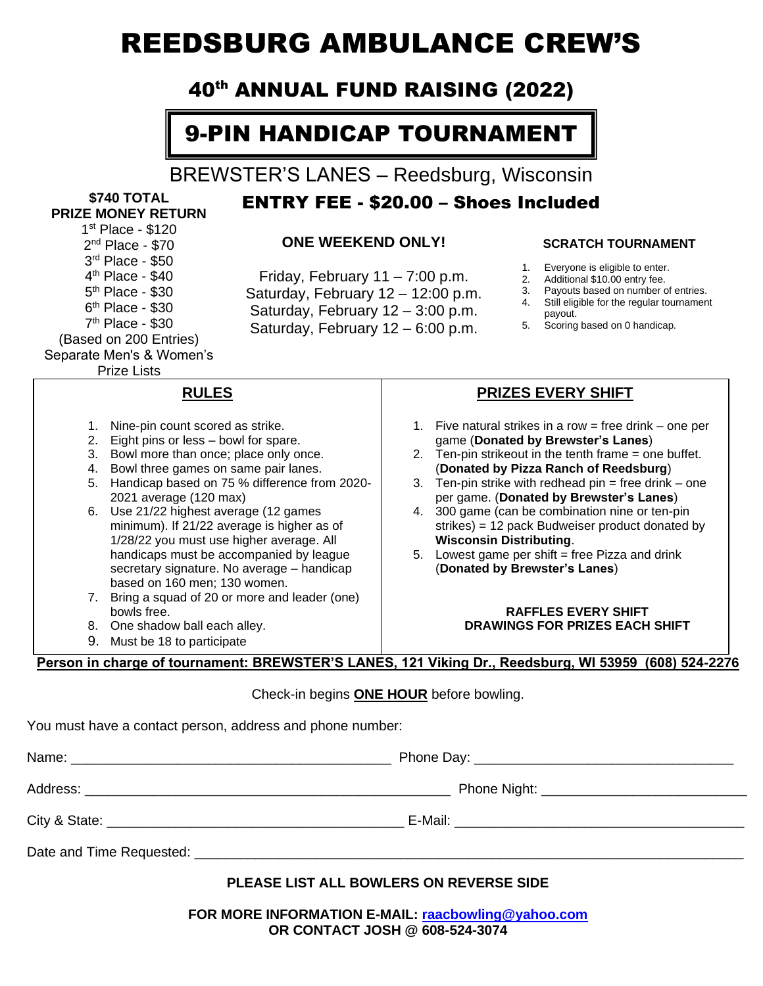# REEDSBURG AMBULANCE CREW'S

### 40th ANNUAL FUND RAISING (2022)

## 9-PIN HANDICAP TOURNAMENT

BREWSTER'S LANES – Reedsburg, Wisconsin

ENTRY FEE - \$20.00 – Shoes Included

#### **\$740 TOTAL PRIZE MONEY RETURN**

1 st Place - \$120 2 nd Place - \$70 3 rd Place - \$50 4<sup>th</sup> Place - \$40 5<sup>th</sup> Place - \$30 6<sup>th</sup> Place - \$30 7 th Place - \$30 (Based on 200 Entries) Separate Men's & Women's

Prize Lists

#### **ONE WEEKEND ONLY!**

Friday, February 11 – 7:00 p.m. Saturday, February 12 – 12:00 p.m. Saturday, February 12 – 3:00 p.m. Saturday, February 12 – 6:00 p.m.

#### **SCRATCH TOURNAMENT**

- 1. Everyone is eligible to enter.
- 2. Additional \$10.00 entry fee.<br>3. Payouts based on number o
- Payouts based on number of entries. 4. Still eligible for the regular tournament
- payout.
- 5. Scoring based on 0 handicap.

**PRIZES EVERY SHIFT**

5. Lowest game per shift  $=$  free Pizza and drink

**RAFFLES EVERY SHIFT DRAWINGS FOR PRIZES EACH SHIFT**

(**Donated by Brewster's Lanes**)

**Wisconsin Distributing**.

1. Five natural strikes in a row = free drink – one per game (**Donated by Brewster's Lanes**) 2. Ten-pin strikeout in the tenth frame = one buffet. (**Donated by Pizza Ranch of Reedsburg**) 3. Ten-pin strike with redhead  $pin = free$  drink – one per game. (**Donated by Brewster's Lanes**) 4. 300 game (can be combination nine or ten-pin strikes) = 12 pack Budweiser product donated by

**RULES**

- 1. Nine-pin count scored as strike.
- 2. Eight pins or less bowl for spare.
- 3. Bowl more than once; place only once.
- 4. Bowl three games on same pair lanes.
- 5. Handicap based on 75 % difference from 2020- 2021 average (120 max)
- 6. Use 21/22 highest average (12 games minimum). If 21/22 average is higher as of 1/28/22 you must use higher average. All handicaps must be accompanied by league secretary signature. No average – handicap based on 160 men; 130 women.
- 7. Bring a squad of 20 or more and leader (one) bowls free.
- 8. One shadow ball each alley.
- 9. Must be 18 to participate

#### **Person in charge of tournament: BREWSTER'S LANES, 121 Viking Dr., Reedsburg, WI 53959 (608) 524-2276**

#### Check-in begins **ONE HOUR** before bowling.

You must have a contact person, address and phone number:

#### **PLEASE LIST ALL BOWLERS ON REVERSE SIDE**

**FOR MORE INFORMATION E-MAIL: [raacbowling@yahoo.com](mailto:raacbowling@yahoo.com) OR CONTACT JOSH @ 608-524-3074**